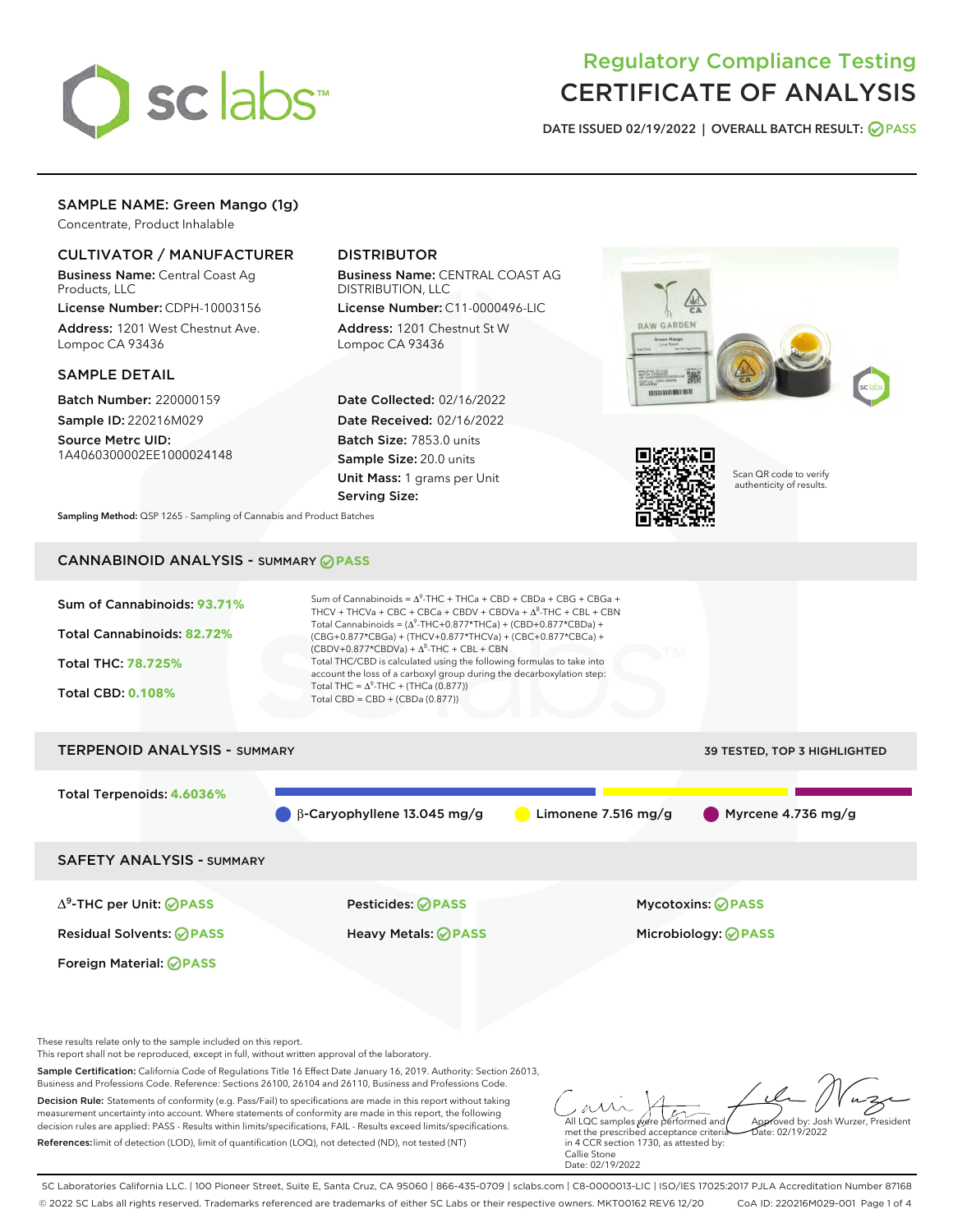

# Regulatory Compliance Testing CERTIFICATE OF ANALYSIS

DATE ISSUED 02/19/2022 | OVERALL BATCH RESULT: @ PASS

## SAMPLE NAME: Green Mango (1g)

Concentrate, Product Inhalable

## CULTIVATOR / MANUFACTURER

Business Name: Central Coast Ag Products, LLC

License Number: CDPH-10003156 Address: 1201 West Chestnut Ave. Lompoc CA 93436

#### SAMPLE DETAIL

Batch Number: 220000159 Sample ID: 220216M029

Source Metrc UID: 1A4060300002EE1000024148

## DISTRIBUTOR

Business Name: CENTRAL COAST AG DISTRIBUTION, LLC

License Number: C11-0000496-LIC Address: 1201 Chestnut St W Lompoc CA 93436

Date Collected: 02/16/2022 Date Received: 02/16/2022 Batch Size: 7853.0 units Sample Size: 20.0 units Unit Mass: 1 grams per Unit Serving Size:





Scan QR code to verify authenticity of results.

Sampling Method: QSP 1265 - Sampling of Cannabis and Product Batches

# CANNABINOID ANALYSIS - SUMMARY **PASS**



Decision Rule: Statements of conformity (e.g. Pass/Fail) to specifications are made in this report without taking measurement uncertainty into account. Where statements of conformity are made in this report, the following decision rules are applied: PASS - Results within limits/specifications, FAIL - Results exceed limits/specifications. References:limit of detection (LOD), limit of quantification (LOQ), not detected (ND), not tested (NT)

All LQC samples were performed and met the prescribed acceptance criteria in 4 CCR section 1730, as attested by: Callie Stone Approved by: Josh Wurzer, President  $ate: 02/19/2022$ 

Date: 02/19/2022

SC Laboratories California LLC. | 100 Pioneer Street, Suite E, Santa Cruz, CA 95060 | 866-435-0709 | sclabs.com | C8-0000013-LIC | ISO/IES 17025:2017 PJLA Accreditation Number 87168 © 2022 SC Labs all rights reserved. Trademarks referenced are trademarks of either SC Labs or their respective owners. MKT00162 REV6 12/20 CoA ID: 220216M029-001 Page 1 of 4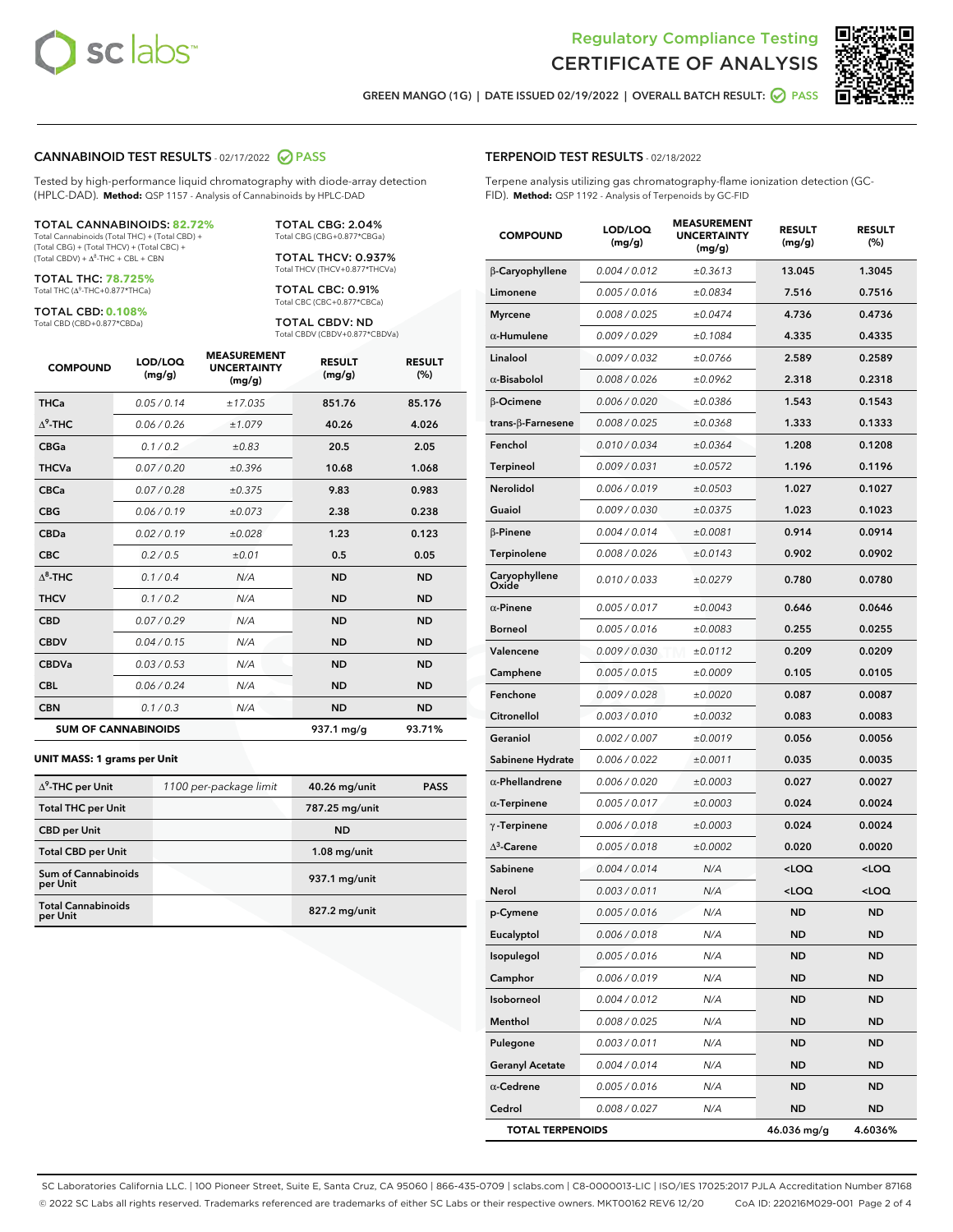

Terpene analysis utilizing gas chromatography-flame ionization detection (GC-



GREEN MANGO (1G) | DATE ISSUED 02/19/2022 | OVERALL BATCH RESULT: @ PASS

TERPENOID TEST RESULTS - 02/18/2022

FID). **Method:** QSP 1192 - Analysis of Terpenoids by GC-FID

#### CANNABINOID TEST RESULTS - 02/17/2022 2 PASS

Tested by high-performance liquid chromatography with diode-array detection (HPLC-DAD). **Method:** QSP 1157 - Analysis of Cannabinoids by HPLC-DAD

#### TOTAL CANNABINOIDS: **82.72%**

Total Cannabinoids (Total THC) + (Total CBD) + (Total CBG) + (Total THCV) + (Total CBC) +  $(Total CBDV) +  $\Delta^8$ -THC + CBL + CBN$ 

TOTAL THC: **78.725%** Total THC (Δ<sup>9</sup>-THC+0.877\*THCa)

TOTAL CBD: **0.108%**

Total CBD (CBD+0.877\*CBDa)

TOTAL CBG: 2.04% Total CBG (CBG+0.877\*CBGa)

TOTAL THCV: 0.937% Total THCV (THCV+0.877\*THCVa)

TOTAL CBC: 0.91% Total CBC (CBC+0.877\*CBCa)

TOTAL CBDV: ND Total CBDV (CBDV+0.877\*CBDVa)

| <b>COMPOUND</b>  | LOD/LOQ<br>(mg/g)          | <b>MEASUREMENT</b><br><b>UNCERTAINTY</b><br>(mg/g) | <b>RESULT</b><br>(mg/g) | <b>RESULT</b><br>(%) |
|------------------|----------------------------|----------------------------------------------------|-------------------------|----------------------|
| <b>THCa</b>      | 0.05/0.14                  | ±17.035                                            | 851.76                  | 85.176               |
| $\Lambda^9$ -THC | 0.06 / 0.26                | ±1.079                                             | 40.26                   | 4.026                |
| <b>CBGa</b>      | 0.1 / 0.2                  | ±0.83                                              | 20.5                    | 2.05                 |
| <b>THCVa</b>     | 0.07/0.20                  | ±0.396                                             | 10.68                   | 1.068                |
| <b>CBCa</b>      | 0.07 / 0.28                | ±0.375                                             | 9.83                    | 0.983                |
| <b>CBG</b>       | 0.06/0.19                  | ±0.073                                             | 2.38                    | 0.238                |
| <b>CBDa</b>      | 0.02/0.19                  | ±0.028                                             | 1.23                    | 0.123                |
| <b>CBC</b>       | 0.2 / 0.5                  | ±0.01                                              | 0.5                     | 0.05                 |
| $\Lambda^8$ -THC | 0.1 / 0.4                  | N/A                                                | <b>ND</b>               | <b>ND</b>            |
| <b>THCV</b>      | 0.1 / 0.2                  | N/A                                                | <b>ND</b>               | <b>ND</b>            |
| <b>CBD</b>       | 0.07/0.29                  | N/A                                                | <b>ND</b>               | <b>ND</b>            |
| <b>CBDV</b>      | 0.04 / 0.15                | N/A                                                | <b>ND</b>               | <b>ND</b>            |
| <b>CBDVa</b>     | 0.03 / 0.53                | N/A                                                | <b>ND</b>               | <b>ND</b>            |
| <b>CBL</b>       | 0.06 / 0.24                | N/A                                                | <b>ND</b>               | <b>ND</b>            |
| <b>CBN</b>       | 0.1/0.3                    | N/A                                                | <b>ND</b>               | <b>ND</b>            |
|                  | <b>SUM OF CANNABINOIDS</b> |                                                    | 937.1 mg/g              | 93.71%               |

#### **UNIT MASS: 1 grams per Unit**

| $\Delta^9$ -THC per Unit              | 1100 per-package limit | 40.26 mg/unit  | <b>PASS</b> |
|---------------------------------------|------------------------|----------------|-------------|
| <b>Total THC per Unit</b>             |                        | 787.25 mg/unit |             |
| <b>CBD</b> per Unit                   |                        | <b>ND</b>      |             |
| <b>Total CBD per Unit</b>             |                        | $1.08$ mg/unit |             |
| Sum of Cannabinoids<br>per Unit       |                        | 937.1 mg/unit  |             |
| <b>Total Cannabinoids</b><br>per Unit |                        | 827.2 mg/unit  |             |

| <b>COMPOUND</b>        | LOD/LOQ<br>(mg/g) | <b>MEASUREMENT</b><br><b>UNCERTAINTY</b><br>(mg/g) | <b>RESULT</b><br>(mg/g)                         | <b>RESULT</b><br>(%) |
|------------------------|-------------------|----------------------------------------------------|-------------------------------------------------|----------------------|
| <b>B-Caryophyllene</b> | 0.004 / 0.012     | ±0.3613                                            | 13.045                                          | 1.3045               |
| Limonene               | 0.005 / 0.016     | ±0.0834                                            | 7.516                                           | 0.7516               |
| Myrcene                | 0.008 / 0.025     | ±0.0474                                            | 4.736                                           | 0.4736               |
| $\alpha$ -Humulene     | 0.009/0.029       | ±0.1084                                            | 4.335                                           | 0.4335               |
| Linalool               | 0.009 / 0.032     | ±0.0766                                            | 2.589                                           | 0.2589               |
| $\alpha$ -Bisabolol    | 0.008 / 0.026     | ±0.0962                                            | 2.318                                           | 0.2318               |
| β-Ocimene              | 0.006 / 0.020     | ±0.0386                                            | 1.543                                           | 0.1543               |
| trans-β-Farnesene      | 0.008 / 0.025     | ±0.0368                                            | 1.333                                           | 0.1333               |
| Fenchol                | 0.010 / 0.034     | ±0.0364                                            | 1.208                                           | 0.1208               |
| Terpineol              | 0.009 / 0.031     | ±0.0572                                            | 1.196                                           | 0.1196               |
| Nerolidol              | 0.006 / 0.019     | ±0.0503                                            | 1.027                                           | 0.1027               |
| Guaiol                 | 0.009 / 0.030     | ±0.0375                                            | 1.023                                           | 0.1023               |
| β-Pinene               | 0.004 / 0.014     | ±0.0081                                            | 0.914                                           | 0.0914               |
| Terpinolene            | 0.008 / 0.026     | ±0.0143                                            | 0.902                                           | 0.0902               |
| Caryophyllene<br>Oxide | 0.010 / 0.033     | ±0.0279                                            | 0.780                                           | 0.0780               |
| $\alpha$ -Pinene       | 0.005 / 0.017     | ±0.0043                                            | 0.646                                           | 0.0646               |
| Borneol                | 0.005 / 0.016     | ±0.0083                                            | 0.255                                           | 0.0255               |
| Valencene              | 0.009 / 0.030     | ±0.0112                                            | 0.209                                           | 0.0209               |
| Camphene               | 0.005 / 0.015     | ±0.0009                                            | 0.105                                           | 0.0105               |
| Fenchone               | 0.009 / 0.028     | ±0.0020                                            | 0.087                                           | 0.0087               |
| Citronellol            | 0.003 / 0.010     | ±0.0032                                            | 0.083                                           | 0.0083               |
| Geraniol               | 0.002 / 0.007     | ±0.0019                                            | 0.056                                           | 0.0056               |
| Sabinene Hydrate       | 0.006 / 0.022     | ±0.0011                                            | 0.035                                           | 0.0035               |
| $\alpha$ -Phellandrene | 0.006 / 0.020     | ±0.0003                                            | 0.027                                           | 0.0027               |
| $\alpha$ -Terpinene    | 0.005 / 0.017     | ±0.0003                                            | 0.024                                           | 0.0024               |
| γ -Terpinene           | 0.006 / 0.018     | ±0.0003                                            | 0.024                                           | 0.0024               |
| $\Delta^3$ -Carene     | 0.005 / 0.018     | ±0.0002                                            | 0.020                                           | 0.0020               |
| Sabinene               | 0.004 / 0.014     | N/A                                                | <loq< th=""><th><loq< th=""></loq<></th></loq<> | <loq< th=""></loq<>  |
| Nerol                  | 0.003 / 0.011     | N/A                                                | <loq< th=""><th><loq< th=""></loq<></th></loq<> | <loq< th=""></loq<>  |
| p-Cymene               | 0.005 / 0.016     | N/A                                                | <b>ND</b>                                       | <b>ND</b>            |
| Eucalyptol             | 0.006 / 0.018     | N/A                                                | ND                                              | ND                   |
| Isopulegol             | 0.005 / 0.016     | N/A                                                | <b>ND</b>                                       | ND                   |
| Camphor                | 0.006 / 0.019     | N/A                                                | ND                                              | ND                   |
| Isoborneol             | 0.004 / 0.012     | N/A                                                | ND                                              | <b>ND</b>            |
| Menthol                | 0.008 / 0.025     | N/A                                                | <b>ND</b>                                       | ND                   |
| Pulegone               | 0.003 / 0.011     | N/A                                                | ND                                              | ND                   |
| <b>Geranyl Acetate</b> | 0.004 / 0.014     | N/A                                                | ND                                              | <b>ND</b>            |
| $\alpha$ -Cedrene      | 0.005 / 0.016     | N/A                                                | <b>ND</b>                                       | <b>ND</b>            |

Cedrol 0.008 / 0.027 N/A ND ND TOTAL TERPENOIDS 46.036 mg/g 4.6036%

SC Laboratories California LLC. | 100 Pioneer Street, Suite E, Santa Cruz, CA 95060 | 866-435-0709 | sclabs.com | C8-0000013-LIC | ISO/IES 17025:2017 PJLA Accreditation Number 87168 © 2022 SC Labs all rights reserved. Trademarks referenced are trademarks of either SC Labs or their respective owners. MKT00162 REV6 12/20 CoA ID: 220216M029-001 Page 2 of 4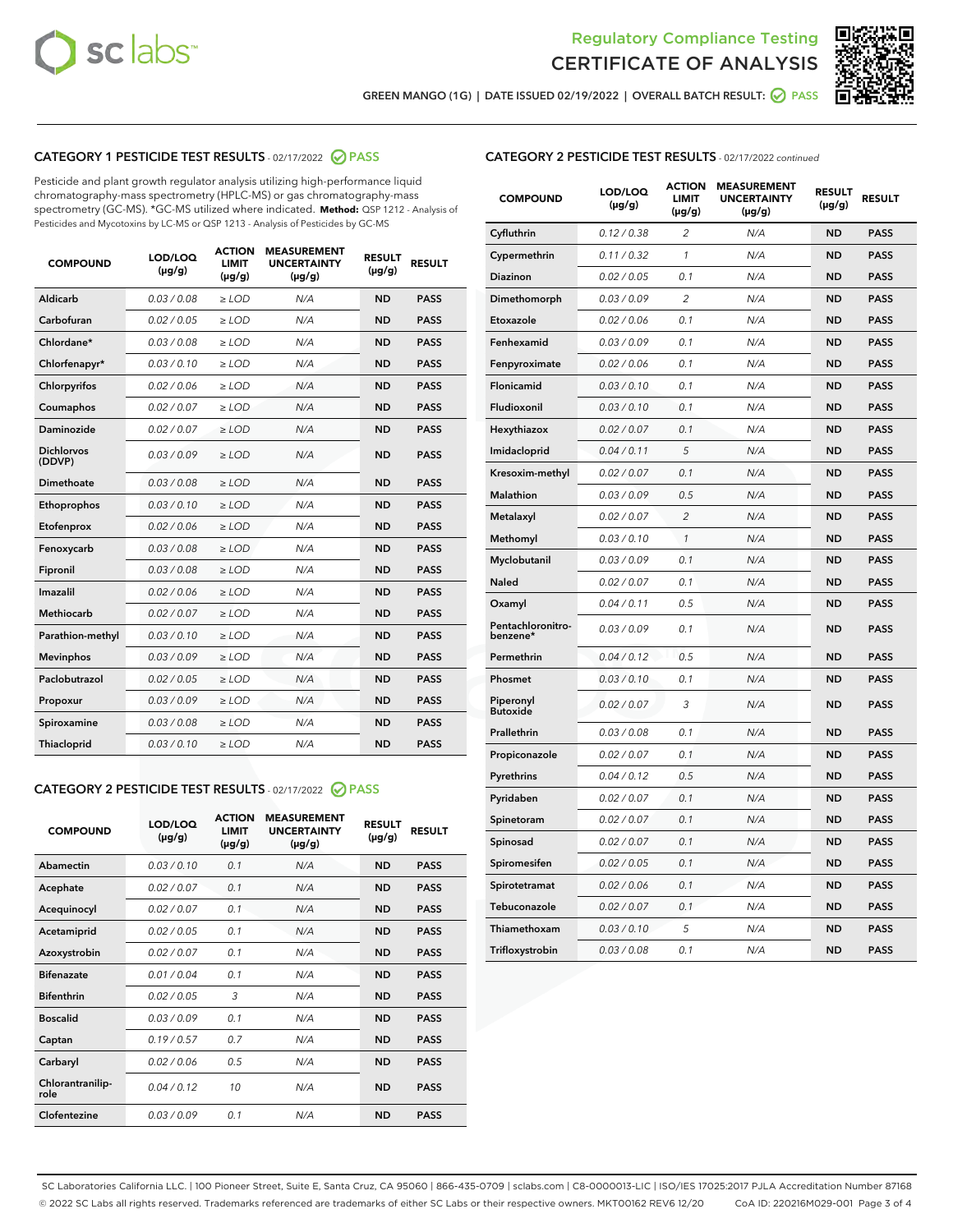



GREEN MANGO (1G) | DATE ISSUED 02/19/2022 | OVERALL BATCH RESULT:  $\bigcirc$  PASS

## CATEGORY 1 PESTICIDE TEST RESULTS - 02/17/2022 2 PASS

Pesticide and plant growth regulator analysis utilizing high-performance liquid chromatography-mass spectrometry (HPLC-MS) or gas chromatography-mass spectrometry (GC-MS). \*GC-MS utilized where indicated. **Method:** QSP 1212 - Analysis of Pesticides and Mycotoxins by LC-MS or QSP 1213 - Analysis of Pesticides by GC-MS

| <b>COMPOUND</b>             | <b>LOD/LOQ</b><br>$(\mu g/g)$ | <b>ACTION</b><br><b>LIMIT</b><br>$(\mu g/g)$ | <b>MEASUREMENT</b><br><b>UNCERTAINTY</b><br>$(\mu g/g)$ | <b>RESULT</b><br>$(\mu g/g)$ | <b>RESULT</b> |
|-----------------------------|-------------------------------|----------------------------------------------|---------------------------------------------------------|------------------------------|---------------|
| <b>Aldicarb</b>             | 0.03 / 0.08                   | $\geq$ LOD                                   | N/A                                                     | <b>ND</b>                    | <b>PASS</b>   |
| Carbofuran                  | 0.02 / 0.05                   | $\ge$ LOD                                    | N/A                                                     | <b>ND</b>                    | <b>PASS</b>   |
| Chlordane*                  | 0.03/0.08                     | $>$ LOD                                      | N/A                                                     | <b>ND</b>                    | <b>PASS</b>   |
| Chlorfenapyr*               | 0.03/0.10                     | $\ge$ LOD                                    | N/A                                                     | <b>ND</b>                    | <b>PASS</b>   |
| Chlorpyrifos                | 0.02/0.06                     | $>$ LOD                                      | N/A                                                     | <b>ND</b>                    | <b>PASS</b>   |
| Coumaphos                   | 0.02 / 0.07                   | $\ge$ LOD                                    | N/A                                                     | <b>ND</b>                    | <b>PASS</b>   |
| Daminozide                  | 0.02 / 0.07                   | $\ge$ LOD                                    | N/A                                                     | <b>ND</b>                    | <b>PASS</b>   |
| <b>Dichlorvos</b><br>(DDVP) | 0.03/0.09                     | $>$ LOD                                      | N/A                                                     | <b>ND</b>                    | <b>PASS</b>   |
| Dimethoate                  | 0.03/0.08                     | $>$ LOD                                      | N/A                                                     | <b>ND</b>                    | <b>PASS</b>   |
| Ethoprophos                 | 0.03/0.10                     | $>$ LOD                                      | N/A                                                     | <b>ND</b>                    | <b>PASS</b>   |
| Etofenprox                  | 0.02 / 0.06                   | $\ge$ LOD                                    | N/A                                                     | <b>ND</b>                    | <b>PASS</b>   |
| Fenoxycarb                  | 0.03/0.08                     | $>$ LOD                                      | N/A                                                     | <b>ND</b>                    | <b>PASS</b>   |
| Fipronil                    | 0.03/0.08                     | $\ge$ LOD                                    | N/A                                                     | <b>ND</b>                    | <b>PASS</b>   |
| Imazalil                    | 0.02 / 0.06                   | $\ge$ LOD                                    | N/A                                                     | <b>ND</b>                    | <b>PASS</b>   |
| <b>Methiocarb</b>           | 0.02 / 0.07                   | $\ge$ LOD                                    | N/A                                                     | <b>ND</b>                    | <b>PASS</b>   |
| Parathion-methyl            | 0.03/0.10                     | $>$ LOD                                      | N/A                                                     | <b>ND</b>                    | <b>PASS</b>   |
| <b>Mevinphos</b>            | 0.03/0.09                     | $\ge$ LOD                                    | N/A                                                     | <b>ND</b>                    | <b>PASS</b>   |
| Paclobutrazol               | 0.02 / 0.05                   | $\ge$ LOD                                    | N/A                                                     | <b>ND</b>                    | <b>PASS</b>   |
| Propoxur                    | 0.03/0.09                     | $\ge$ LOD                                    | N/A                                                     | <b>ND</b>                    | <b>PASS</b>   |
| Spiroxamine                 | 0.03 / 0.08                   | $\ge$ LOD                                    | N/A                                                     | <b>ND</b>                    | <b>PASS</b>   |
| Thiacloprid                 | 0.03/0.10                     | $\ge$ LOD                                    | N/A                                                     | <b>ND</b>                    | <b>PASS</b>   |

## CATEGORY 2 PESTICIDE TEST RESULTS - 02/17/2022 2 PASS

| <b>COMPOUND</b>          | LOD/LOO<br>$(\mu g/g)$ | <b>ACTION</b><br><b>LIMIT</b><br>$(\mu g/g)$ | <b>MEASUREMENT</b><br><b>UNCERTAINTY</b><br>$(\mu g/g)$ | <b>RESULT</b><br>$(\mu g/g)$ | <b>RESULT</b> |  |
|--------------------------|------------------------|----------------------------------------------|---------------------------------------------------------|------------------------------|---------------|--|
| Abamectin                | 0.03/0.10              | 0.1                                          | N/A                                                     | <b>ND</b>                    | <b>PASS</b>   |  |
| Acephate                 | 0.02 / 0.07            | 0.1                                          | N/A                                                     | <b>ND</b>                    | <b>PASS</b>   |  |
| Acequinocyl              | 0.02/0.07              | 0.1                                          | N/A                                                     | <b>ND</b>                    | <b>PASS</b>   |  |
| Acetamiprid              | 0.02/0.05              | 0.1                                          | N/A                                                     | <b>ND</b>                    | <b>PASS</b>   |  |
| Azoxystrobin             | 0.02 / 0.07            | 0.1                                          | N/A                                                     | <b>ND</b>                    | <b>PASS</b>   |  |
| <b>Bifenazate</b>        | 0.01/0.04              | 0.1                                          | N/A                                                     | <b>ND</b>                    | <b>PASS</b>   |  |
| <b>Bifenthrin</b>        | 0.02/0.05              | 3                                            | N/A                                                     | <b>ND</b>                    | <b>PASS</b>   |  |
| <b>Boscalid</b>          | 0.03/0.09              | 0.1                                          | N/A                                                     | <b>ND</b>                    | <b>PASS</b>   |  |
| Captan                   | 0.19/0.57              | 0.7                                          | N/A                                                     | <b>ND</b>                    | <b>PASS</b>   |  |
| Carbaryl                 | 0.02/0.06              | 0.5                                          | N/A                                                     | <b>ND</b>                    | <b>PASS</b>   |  |
| Chlorantranilip-<br>role | 0.04/0.12              | 10                                           | N/A                                                     | <b>ND</b>                    | <b>PASS</b>   |  |
| Clofentezine             | 0.03/0.09              | 0.1                                          | N/A                                                     | <b>ND</b>                    | <b>PASS</b>   |  |

### CATEGORY 2 PESTICIDE TEST RESULTS - 02/17/2022 continued

| <b>COMPOUND</b>               | LOD/LOQ<br>(µg/g) | <b>ACTION</b><br><b>LIMIT</b><br>(µg/g) | <b>MEASUREMENT</b><br><b>UNCERTAINTY</b><br>$(\mu g/g)$ | <b>RESULT</b><br>(µg/g) | <b>RESULT</b> |
|-------------------------------|-------------------|-----------------------------------------|---------------------------------------------------------|-------------------------|---------------|
| Cyfluthrin                    | 0.12 / 0.38       | $\overline{c}$                          | N/A                                                     | <b>ND</b>               | <b>PASS</b>   |
| Cypermethrin                  | 0.11 / 0.32       | 1                                       | N/A                                                     | <b>ND</b>               | <b>PASS</b>   |
| <b>Diazinon</b>               | 0.02 / 0.05       | 0.1                                     | N/A                                                     | <b>ND</b>               | <b>PASS</b>   |
| Dimethomorph                  | 0.03 / 0.09       | $\overline{2}$                          | N/A                                                     | <b>ND</b>               | <b>PASS</b>   |
| Etoxazole                     | 0.02 / 0.06       | 0.1                                     | N/A                                                     | <b>ND</b>               | <b>PASS</b>   |
| Fenhexamid                    | 0.03 / 0.09       | 0.1                                     | N/A                                                     | <b>ND</b>               | <b>PASS</b>   |
| Fenpyroximate                 | 0.02 / 0.06       | 0.1                                     | N/A                                                     | <b>ND</b>               | <b>PASS</b>   |
| Flonicamid                    | 0.03 / 0.10       | 0.1                                     | N/A                                                     | <b>ND</b>               | <b>PASS</b>   |
| Fludioxonil                   | 0.03 / 0.10       | 0.1                                     | N/A                                                     | <b>ND</b>               | <b>PASS</b>   |
| Hexythiazox                   | 0.02 / 0.07       | 0.1                                     | N/A                                                     | <b>ND</b>               | <b>PASS</b>   |
| Imidacloprid                  | 0.04 / 0.11       | 5                                       | N/A                                                     | <b>ND</b>               | <b>PASS</b>   |
| Kresoxim-methyl               | 0.02 / 0.07       | 0.1                                     | N/A                                                     | <b>ND</b>               | <b>PASS</b>   |
| Malathion                     | 0.03 / 0.09       | 0.5                                     | N/A                                                     | <b>ND</b>               | <b>PASS</b>   |
| Metalaxyl                     | 0.02 / 0.07       | $\overline{c}$                          | N/A                                                     | <b>ND</b>               | <b>PASS</b>   |
| Methomyl                      | 0.03 / 0.10       | 1                                       | N/A                                                     | <b>ND</b>               | <b>PASS</b>   |
| Myclobutanil                  | 0.03 / 0.09       | 0.1                                     | N/A                                                     | <b>ND</b>               | <b>PASS</b>   |
| Naled                         | 0.02 / 0.07       | 0.1                                     | N/A                                                     | <b>ND</b>               | <b>PASS</b>   |
| Oxamyl                        | 0.04 / 0.11       | 0.5                                     | N/A                                                     | ND                      | <b>PASS</b>   |
| Pentachloronitro-<br>benzene* | 0.03 / 0.09       | 0.1                                     | N/A                                                     | <b>ND</b>               | <b>PASS</b>   |
| Permethrin                    | 0.04 / 0.12       | 0.5                                     | N/A                                                     | <b>ND</b>               | <b>PASS</b>   |
| Phosmet                       | 0.03 / 0.10       | 0.1                                     | N/A                                                     | <b>ND</b>               | <b>PASS</b>   |
| Piperonyl<br><b>Butoxide</b>  | 0.02 / 0.07       | 3                                       | N/A                                                     | <b>ND</b>               | <b>PASS</b>   |
| Prallethrin                   | 0.03 / 0.08       | 0.1                                     | N/A                                                     | <b>ND</b>               | <b>PASS</b>   |
| Propiconazole                 | 0.02 / 0.07       | 0.1                                     | N/A                                                     | <b>ND</b>               | <b>PASS</b>   |
| Pyrethrins                    | 0.04 / 0.12       | 0.5                                     | N/A                                                     | <b>ND</b>               | <b>PASS</b>   |
| Pyridaben                     | 0.02 / 0.07       | 0.1                                     | N/A                                                     | <b>ND</b>               | <b>PASS</b>   |
| Spinetoram                    | 0.02 / 0.07       | 0.1                                     | N/A                                                     | <b>ND</b>               | <b>PASS</b>   |
| Spinosad                      | 0.02 / 0.07       | 0.1                                     | N/A                                                     | <b>ND</b>               | <b>PASS</b>   |
| Spiromesifen                  | 0.02 / 0.05       | 0.1                                     | N/A                                                     | <b>ND</b>               | <b>PASS</b>   |
| Spirotetramat                 | 0.02 / 0.06       | 0.1                                     | N/A                                                     | <b>ND</b>               | <b>PASS</b>   |
| Tebuconazole                  | 0.02 / 0.07       | 0.1                                     | N/A                                                     | <b>ND</b>               | <b>PASS</b>   |
| Thiamethoxam                  | 0.03 / 0.10       | 5                                       | N/A                                                     | <b>ND</b>               | <b>PASS</b>   |
| Trifloxystrobin               | 0.03 / 0.08       | 0.1                                     | N/A                                                     | <b>ND</b>               | <b>PASS</b>   |

SC Laboratories California LLC. | 100 Pioneer Street, Suite E, Santa Cruz, CA 95060 | 866-435-0709 | sclabs.com | C8-0000013-LIC | ISO/IES 17025:2017 PJLA Accreditation Number 87168 © 2022 SC Labs all rights reserved. Trademarks referenced are trademarks of either SC Labs or their respective owners. MKT00162 REV6 12/20 CoA ID: 220216M029-001 Page 3 of 4